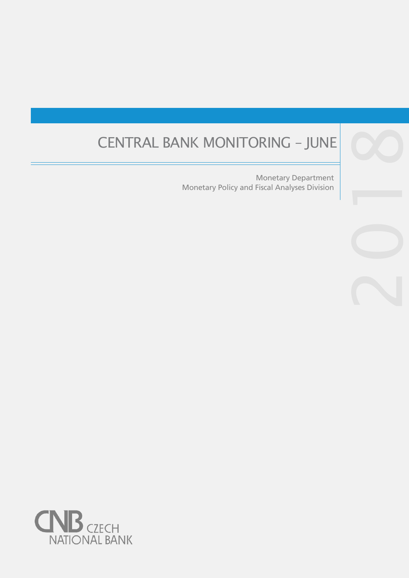# CENTRAL BANK MONITORING – JUNE CO

Monetary Policy and Fiscal Analyses Division Monetary Department

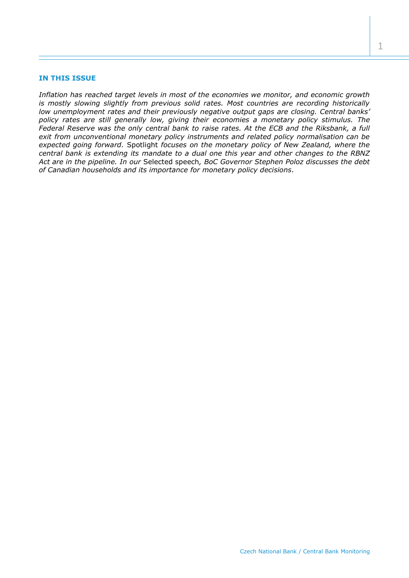## **IN THIS ISSUE**

*Inflation has reached target levels in most of the economies we monitor, and economic growth is mostly slowing slightly from previous solid rates. Most countries are recording historically low unemployment rates and their previously negative output gaps are closing. Central banks' policy rates are still generally low, giving their economies a monetary policy stimulus. The Federal Reserve was the only central bank to raise rates. At the ECB and the Riksbank, a full exit from unconventional monetary policy instruments and related policy normalisation can be expected going forward.* Spotlight *focuses on the monetary policy of New Zealand, where the central bank is extending its mandate to a dual one this year and other changes to the RBNZ Act are in the pipeline. In our* Selected speech*, BoC Governor Stephen Poloz discusses the debt of Canadian households and its importance for monetary policy decisions.*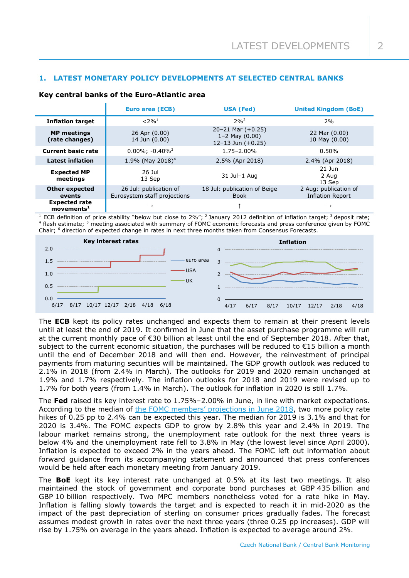# **1. LATEST MONETARY POLICY DEVELOPMENTS AT SELECTED CENTRAL BANKS**

## **Key central banks of the Euro-Atlantic area**

|                                                   | <b>Euro area (ECB)</b>                                 | <b>USA (Fed)</b>                                                       |                                                  |
|---------------------------------------------------|--------------------------------------------------------|------------------------------------------------------------------------|--------------------------------------------------|
| <b>Inflation target</b>                           | $< 2\%$ <sup>1</sup>                                   | $20h^2$                                                                | 2%                                               |
| <b>MP</b> meetings<br>(rate changes)              | 26 Apr (0.00)<br>14 Jun (0.00)                         | $20 - 21$ Mar $(+0.25)$<br>$1 - 2$ May $(0.00)$<br>12-13 Jun $(+0.25)$ | 22 Mar (0.00)<br>10 May (0.00)                   |
| <b>Current basic rate</b>                         | $0.00\%$ ; -0.40% <sup>3</sup>                         | $1.75 - 2.00\%$                                                        | 0.50%                                            |
| <b>Latest inflation</b>                           | 1.9% (May 2018) <sup>4</sup>                           | 2.5% (Apr 2018)                                                        | 2.4% (Apr 2018)                                  |
| <b>Expected MP</b><br>meetings                    | 26 Jul<br>13 Sep                                       | 31 Jul-1 Aug                                                           | $21$ Jun<br>2 Aug<br>13 Sep                      |
| <b>Other expected</b><br>events                   | 26 Jul: publication of<br>Eurosystem staff projections | 18 Jul: publication of Beige<br><b>Book</b>                            | 2 Aug: publication of<br><b>Inflation Report</b> |
| <b>Expected rate</b><br>$move$ ments <sup>1</sup> | $\rightarrow$                                          |                                                                        | $\rightarrow$                                    |

<sup>1</sup> ECB definition of price stability "below but close to 2%"; <sup>2</sup> January 2012 definition of inflation target; <sup>3</sup> deposit rate; <sup>4</sup> flash estimate; <sup>5</sup> meeting associated with summary of FOMC economic forecasts and press conference given by FOMC Chair; <sup>6</sup> direction of expected change in rates in next three months taken from Consensus Forecasts.



The **ECB** kept its policy rates unchanged and expects them to remain at their present levels until at least the end of 2019. It confirmed in June that the asset purchase programme will run at the current monthly pace of €30 billion at least until the end of September 2018. After that, subiect to the current economic situation, the purchases will be reduced to €15 billion a month until the end of December 2018 and will then end. However, the reinvestment of principal payments from maturing securities will be maintained. The GDP growth outlook was reduced to 2.1% in 2018 (from 2.4% in March). The outlooks for 2019 and 2020 remain unchanged at 1.9% and 1.7% respectively. The inflation outlooks for 2018 and 2019 were revised up to 1.7% for both years (from 1.4% in March). The outlook for inflation in 2020 is still 1.7%.

The **Fed** raised its key interest rate to 1.75%–2.00% in June, in line with market expectations. According to the median of the FOMC members' [projections in June](https://www.federalreserve.gov/monetarypolicy/files/fomcprojtabl20180613.pdf¨) 2018, two more policy rate hikes of 0.25 pp to 2.4% can be expected this year. The median for 2019 is 3.1% and that for 2020 is 3.4%. The FOMC expects GDP to grow by 2.8% this year and 2.4% in 2019. The labour market remains strong, the unemployment rate outlook for the next three years is below 4% and the unemployment rate fell to 3.8% in May (the lowest level since April 2000). Inflation is expected to exceed 2% in the years ahead. The FOMC left out information about forward guidance from its accompanying statement and announced that press conferences would be held after each monetary meeting from January 2019.

The **BoE** kept its key interest rate unchanged at 0.5% at its last two meetings. It also maintained the stock of government and corporate bond purchases at GBP 435 billion and GBP 10 billion respectively. Two MPC members nonetheless voted for a rate hike in May. Inflation is falling slowly towards the target and is expected to reach it in mid-2020 as the impact of the past depreciation of sterling on consumer prices gradually fades. The forecast assumes modest growth in rates over the next three years (three 0.25 pp increases). GDP will rise by 1.75% on average in the years ahead. Inflation is expected to average around 2%.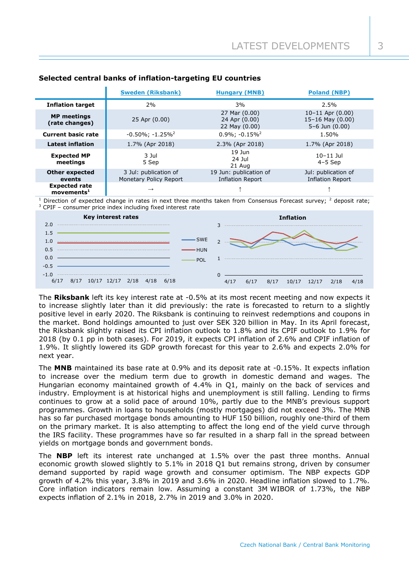|                                                  | <b>Sweden (Riksbank)</b>                        | <b>Hungary (MNB)</b>                            | <b>Poland (NBP)</b>                                              |
|--------------------------------------------------|-------------------------------------------------|-------------------------------------------------|------------------------------------------------------------------|
| <b>Inflation target</b>                          | 2%                                              | 3%                                              | 2.5%                                                             |
| <b>MP</b> meetings<br>(rate changes)             | 25 Apr (0.00)                                   | 27 Mar (0.00)<br>24 Apr (0.00)<br>22 May (0.00) | $10-11$ Apr $(0.00)$<br>15-16 May $(0.00)$<br>$5-6$ Jun $(0.00)$ |
| <b>Current basic rate</b>                        | $-0.50\%$ ; $-1.25\%$ <sup>2</sup>              | $0.9\%$ ; $-0.15\%$ <sup>2</sup>                | 1.50%                                                            |
| <b>Latest inflation</b>                          | 1.7% (Apr 2018)                                 | 2.3% (Apr 2018)                                 | 1.7% (Apr 2018)                                                  |
| <b>Expected MP</b><br>meetings                   | 3 Jul<br>5 Sep                                  | $19$ Jun<br>24 Jul<br>21 Aug                    | $10-11$ Jul<br>$4-5$ Sep                                         |
| <b>Other expected</b><br>events                  | 3 Jul: publication of<br>Monetary Policy Report | 19 Jun: publication of<br>Inflation Report      | Jul: publication of<br><b>Inflation Report</b>                   |
| <b>Expected rate</b><br>$move$ mnts <sup>1</sup> | $\rightarrow$                                   |                                                 |                                                                  |

# **Selected central banks of inflation-targeting EU countries**

Direction of expected change in rates in next three months taken from Consensus Forecast survey; <sup>2</sup> deposit rate; <sup>3</sup> CPIF – consumer price index including fixed interest rate



The **Riksbank** left its key interest rate at -0.5% at its most recent meeting and now expects it to increase slightly later than it did previously: the rate is forecasted to return to a slightly positive level in early 2020. The Riksbank is continuing to reinvest redemptions and coupons in the market. Bond holdings amounted to just over SEK 320 billion in May. In its April forecast, the Riksbank slightly raised its CPI inflation outlook to 1.8% and its CPIF outlook to 1.9% for 2018 (by 0.1 pp in both cases). For 2019, it expects CPI inflation of 2.6% and CPIF inflation of 1.9%. It slightly lowered its GDP growth forecast for this year to 2.6% and expects 2.0% for next year.

The **MNB** maintained its base rate at 0.9% and its deposit rate at -0.15%. It expects inflation to increase over the medium term due to growth in domestic demand and wages. The Hungarian economy maintained growth of 4.4% in Q1, mainly on the back of services and industry. Employment is at historical highs and unemployment is still falling. Lending to firms continues to grow at a solid pace of around 10%, partly due to the MNB's previous support programmes. Growth in loans to households (mostly mortgages) did not exceed 3%. The MNB has so far purchased mortgage bonds amounting to HUF 150 billion, roughly one-third of them on the primary market. It is also attempting to affect the long end of the yield curve through the IRS facility. These programmes have so far resulted in a sharp fall in the spread between yields on mortgage bonds and government bonds.

The **NBP** left its interest rate unchanged at 1.5% over the past three months. Annual economic growth slowed slightly to 5.1% in 2018 Q1 but remains strong, driven by consumer demand supported by rapid wage growth and consumer optimism. The NBP expects GDP growth of 4.2% this year, 3.8% in 2019 and 3.6% in 2020. Headline inflation slowed to 1.7%. Core inflation indicators remain low. Assuming a constant 3M WIBOR of 1.73%, the NBP expects inflation of 2.1% in 2018, 2.7% in 2019 and 3.0% in 2020.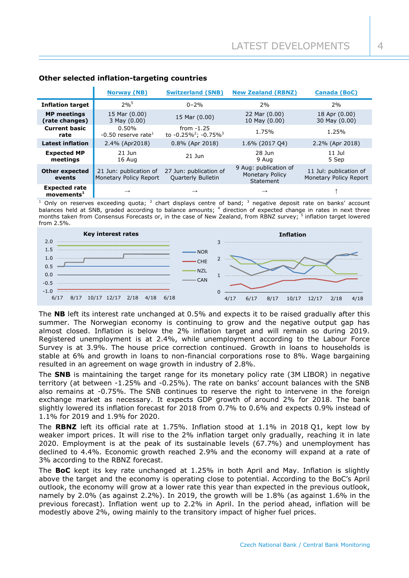|                                                       | <b>Norway (NB)</b>                               | <b>Switzerland (SNB)</b>                                     | <b>New Zealand (RBNZ)</b>                             | <b>Canada (BoC)</b>                              |
|-------------------------------------------------------|--------------------------------------------------|--------------------------------------------------------------|-------------------------------------------------------|--------------------------------------------------|
| <b>Inflation target</b>                               | $2%^{5}$                                         | $0 - 2%$                                                     | 2%                                                    | 2%                                               |
| <b>MP</b> meetings<br>(rate changes)                  | 15 Mar (0.00)<br>3 May (0.00)                    | 15 Mar (0.00)                                                | 22 Mar (0.00)<br>10 May (0.00)                        | 18 Apr (0.00)<br>30 May (0.00)                   |
| <b>Current basic</b><br>rate                          | 0.50%<br>$-0.50$ reserve rate <sup>1</sup>       | from $-1.25$<br>to -0.25% <sup>2</sup> ; -0.75% <sup>3</sup> | 1.75%                                                 | 1.25%                                            |
| <b>Latest inflation</b>                               | 2.4% (Apr2018)                                   | $0.8\%$ (Apr 2018)                                           | 1.6% (2017 04)                                        | 2.2% (Apr 2018)                                  |
| <b>Expected MP</b><br>meetings                        | $21$ Jun<br>16 Aug                               | $21$ $\mu$                                                   | 28 Jun<br>9 Aug                                       | $11$ Jul<br>5 Sep                                |
| <b>Other expected</b><br>events                       | 21 Jun: publication of<br>Monetary Policy Report | 27 Jun: publication of<br><b>Quarterly Bulletin</b>          | 9 Aug: publication of<br>Monetary Policy<br>Statement | 11 Jul: publication of<br>Monetary Policy Report |
| <b>Expected rate</b><br>$move$ movements <sup>1</sup> | $\rightarrow$                                    | $\rightarrow$                                                | $\rightarrow$                                         |                                                  |

# **Other selected inflation-targeting countries**

<sup>1</sup> Only on reserves exceeding quota; <sup>2</sup> chart displays centre of band; <sup>3</sup> negative deposit rate on banks' account balances held at SNB, graded according to balance amounts; <sup>4</sup> direction of expected change in rates in next three months taken from Consensus Forecasts or, in the case of New Zealand, from RBNZ survey; <sup>5</sup> inflation target lowered from 2.5%.



The **NB** left its interest rate unchanged at 0.5% and expects it to be raised gradually after this summer. The Norwegian economy is continuing to grow and the negative output gap has almost closed. Inflation is below the 2% inflation target and will remain so during 2019. Registered unemployment is at 2.4%, while unemployment according to the Labour Force Survey is at 3.9%. The house price correction continued. Growth in loans to households is stable at 6% and growth in loans to non-financial corporations rose to 8%. Wage bargaining resulted in an agreement on wage growth in industry of 2.8%.

The **SNB** is maintaining the target range for its monetary policy rate (3M LIBOR) in negative territory (at between -1.25% and -0.25%). The rate on banks' account balances with the SNB also remains at -0.75%. The SNB continues to reserve the right to intervene in the foreign exchange market as necessary. It expects GDP growth of around 2% for 2018. The bank slightly lowered its inflation forecast for 2018 from 0.7% to 0.6% and expects 0.9% instead of 1.1% for 2019 and 1.9% for 2020.

The **RBNZ** left its official rate at 1.75%. Inflation stood at 1.1% in 2018 Q1, kept low by weaker import prices. It will rise to the 2% inflation target only gradually, reaching it in late 2020. Employment is at the peak of its sustainable levels (67.7%) and unemployment has declined to 4.4%. Economic growth reached 2.9% and the economy will expand at a rate of 3% according to the RBNZ forecast.

The **BoC** kept its key rate unchanged at 1.25% in both April and May. Inflation is slightly above the target and the economy is operating close to potential. According to the BoC's April outlook, the economy will grow at a lower rate this year than expected in the previous outlook, namely by 2.0% (as against 2.2%). In 2019, the growth will be 1.8% (as against 1.6% in the previous forecast). Inflation went up to 2.2% in April. In the period ahead, inflation will be modestly above 2%, owing mainly to the transitory impact of higher fuel prices.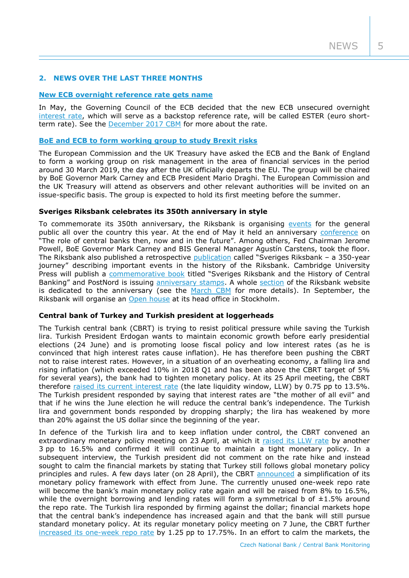$NEWS$  5

# **2. NEWS OVER THE LAST THREE MONTHS**

### **[New ECB overnight reference rate gets](https://www.ecb.europa.eu/press/govcdec/otherdec/2018/html/ecb.gc180518.en.html) name**

In May, the Governing Council of the ECB decided that the new ECB unsecured overnight [interest rate,](https://www.ecb.europa.eu/press/pr/date/2017/html/ecb.pr170921.en.html) which will serve as a backstop reference rate, will be called ESTER (euro shortterm rate). See the [December 2017 CBM](http://www.cnb.cz/miranda2/export/sites/www.cnb.cz/en/monetary_policy/monitoring/download/1704_cbm.pdf) for more about the rate.

### **[BoE and ECB to form working group to study Brexit risks](https://www.bankofengland.co.uk/news/2018/april/eu-commision-and-hmt-ask-ecb-and-boe-to-convene-a-technical-working-group)**

The European Commission and the UK Treasury have asked the ECB and the Bank of England to form a working group on risk management in the area of financial services in the period around 30 March 2019, the day after the UK officially departs the EU. The group will be chaired by BoE Governor Mark Carney and ECB President Mario Draghi. The European Commission and the UK Treasury will attend as observers and other relevant authorities will be invited on an issue-specific basis. The group is expected to hold its first meeting before the summer.

#### **Sveriges Riksbank celebrates its 350th anniversary in style**

To commemorate its 350th anniversary, the Riksbank is organising [events](https://www.riksbank.se/en-gb/about-the-riksbank/the-riksbank-350-years-old/anniversary-tours/) for the general public all over the country this year. At the end of May it held an anniversary [conference](https://www.riksbank.se/en-gb/about-the-riksbank/the-riksbank-350-years-old/anniversary-day/) on "The role of central banks then, now and in the future". Among others, Fed Chairman Jerome Powell, BoE Governor Mark Carney and BIS General Manager Agustín Carstens, took the floor. The Riksbank also published a retrospective [publication](https://www.riksbank.se/en-gb/about-the-riksbank/the-riksbank-350-years-old/the-publication-sveriges-riksbank--a-350-year-journey/) called "Sveriges Riksbank – a 350-year journey" describing important events in the history of the Riksbank. Cambridge University Press will publish a [commemorative book](https://www.riksbank.se/en-gb/about-the-riksbank/the-riksbank-350-years-old/commemorative-book/) titled "Sveriges Riksbank and the History of Central Banking" and PostNord is issuing [anniversary stamps.](https://www.riksbank.se/en-gb/about-the-riksbank/the-riksbank-350-years-old/stamps/) A whole [section](https://www.riksbank.se/en-gb/about-the-riksbank/the-riksbank-350-years-old/) of the Riksbank website is dedicated to the anniversary (see the [March CBM](http://www.cnb.cz/miranda2/export/sites/www.cnb.cz/en/monetary_policy/monitoring/download/1801_cbm.pdf) for more details). In September, the Riksbank will organise an [Open house](https://www.riksbank.se/en-gb/about-the-riksbank/the-riksbank-350-years-old/open-house/) at its head office in Stockholm.

## **Central bank of Turkey and Turkish president at loggerheads**

The Turkish central bank (CBRT) is trying to resist political pressure while saving the Turkish lira. Turkish President Erdogan wants to maintain economic growth before early presidential elections (24 June) and is promoting loose fiscal policy and low interest rates (as he is convinced that high interest rates cause inflation). He has therefore been pushing the CBRT not to raise interest rates. However, in a situation of an overheating economy, a falling lira and rising inflation (which exceeded 10% in 2018 Q1 and has been above the CBRT target of 5% for several years), the bank had to tighten monetary policy. At its 25 April meeting, the CBRT therefore [raised its current](http://www.tcmb.gov.tr/wps/wcm/connect/EN/TCMB+EN/Main+Menu/Announcements/Press+Releases/2018/ANO2018-10) interest rate (the late liquidity window, LLW) by 0.75 pp to 13.5%. The Turkish president responded by saying that interest rates are "the mother of all evil" and that if he wins the June election he will reduce the central bank's independence. The Turkish lira and government bonds responded by dropping sharply; the lira has weakened by more than 20% against the US dollar since the beginning of the year.

In defence of the Turkish lira and to keep inflation under control, the CBRT convened an extraordinary monetary policy meeting on 23 April, at which it raised [its LLW rate](http://www.tcmb.gov.tr/wps/wcm/connect/EN/TCMB+EN/Main+Menu/Announcements/Press+Releases/2018/ANO2018-18) by another 3 pp to 16.5% and confirmed it will continue to maintain a tight monetary policy. In a subsequent interview, the Turkish president did not comment on the rate hike and instead sought to calm the financial markets by stating that Turkey still follows global monetary policy principles and rules. A few days later (on 28 April), the CBRT [announced](http://www.tcmb.gov.tr/wps/wcm/connect/EN/TCMB+EN/Main+Menu/Announcements/Press+Releases/2018/ANO2018-21) a simplification of its monetary policy framework with effect from June. The currently unused one-week repo rate will become the bank's main monetary policy rate again and will be raised from 8% to 16.5%, while the overnight borrowing and lending rates will form a symmetrical b of  $\pm 1.5\%$  around the repo rate. The Turkish lira responded by firming against the dollar; financial markets hope that the central bank's independence has increased again and that the bank will still pursue standard monetary policy. At its regular monetary policy meeting on 7 June, the CBRT further [increased its one-week repo rate](http://www.tcmb.gov.tr/wps/wcm/connect/EN/TCMB+EN/Main+Menu/Announcements/Press+Releases/2018/ANO2018-23) by 1.25 pp to 17.75%. In an effort to calm the markets, the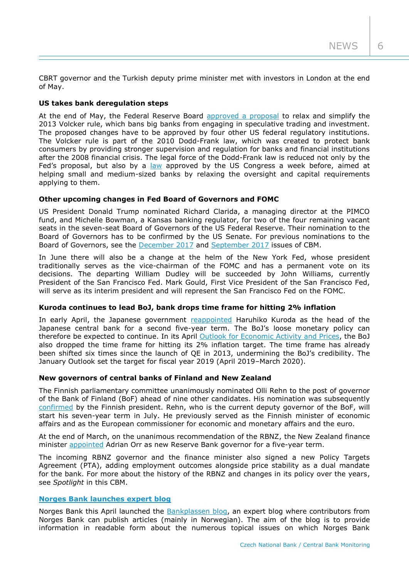CBRT governor and the Turkish deputy prime minister met with investors in London at the end of May.

# **US takes bank deregulation steps**

At the end of May, the Federal Reserve Board [approved a proposal](https://www.federalreserve.gov/newsevents/pressreleases/bcreg20180530a.htm) to relax and simplify the 2013 Volcker rule, which bans big banks from engaging in speculative trading and investment. The proposed changes have to be approved by four other US federal regulatory institutions. The Volcker rule is part of the 2010 Dodd-Frank law, which was created to protect bank consumers by providing stronger supervision and regulation for banks and financial institutions after the 2008 financial crisis. The legal force of the Dodd-Frank law is reduced not only by the Fed's proposal, but also by a [law](https://www.congress.gov/bill/115th-congress/senate-bill/2155) approved by the US Congress a week before, aimed at helping small and medium-sized banks by relaxing the oversight and capital requirements applying to them.

## **Other upcoming changes in Fed Board of Governors and FOMC**

US President Donald Trump nominated Richard Clarida, a managing director at the PIMCO fund, and Michelle Bowman, a Kansas banking regulator, for two of the four remaining vacant seats in the seven-seat Board of Governors of the US Federal Reserve. Their nomination to the Board of Governors has to be confirmed by the US Senate. For previous nominations to the Board of Governors, see the [December 2017](http://www.cnb.cz/miranda2/export/sites/www.cnb.cz/en/monetary_policy/monitoring/download/1704_cbm.pdf) and [September 2017](http://www.cnb.cz/miranda2/export/sites/www.cnb.cz/en/monetary_policy/monitoring/download/1703_cbm.pdf) issues of CBM.

In June there will also be a change at the helm of the New York Fed, whose president traditionally serves as the vice-chairman of the FOMC and has a permanent vote on its decisions. The departing William Dudley will be succeeded by John Williams, currently President of the San Francisco Fed. Mark Gould, First Vice President of the San Francisco Fed, will serve as its interim president and will represent the San Francisco Fed on the FOMC.

# **Kuroda continues to lead BoJ, bank drops time frame for hitting 2% inflation**

In early April, the Japanese government [reappointed](https://www.boj.or.jp/en/announcements/release_2018/rel180409b.htm/) Haruhiko Kuroda as the head of the Japanese central bank for a second five-year term. The BoJ's loose monetary policy can therefore be expected to continue. In its April [Outlook for Economic Activity and Prices,](https://www.boj.or.jp/en/mopo/outlook/gor1804a.htm/) the BoJ also dropped the time frame for hitting its 2% inflation target. The time frame has already been shifted six times since the launch of QE in 2013, undermining the BoJ's credibility. The January Outlook set the target for fiscal year 2019 (April 2019–March 2020).

## **New governors of central banks of Finland and New Zealand**

The Finnish parliamentary committee unanimously nominated Olli Rehn to the post of governor of the Bank of Finland (BoF) ahead of nine other candidates. His nomination was subsequently [confirmed](https://www.suomenpankki.fi/en/media-and-publications/releases/2018/Olli-Rehn-appointed-Governor-of-the-Bank-of-Finland/) by the Finnish president. Rehn, who is the current deputy governor of the BoF, will start his seven-year term in July. He previously served as the Finnish minister of economic affairs and as the European commissioner for economic and monetary affairs and the euro.

At the end of March, on the unanimous recommendation of the RBNZ, the New Zealand finance minister [appointed](https://www.rbnz.govt.nz/news/2017/12/adrian-orr-appointed-as-new-reserve-bank-governor-from-27-march-2018) Adrian Orr as new Reserve Bank governor for a five-year term.

The incoming RBNZ governor and the finance minister also signed a new Policy Targets Agreement (PTA), adding employment outcomes alongside price stability as a dual mandate for the bank. For more about the history of the RBNZ and changes in its policy over the years, see *Spotlight* in this CBM.

# **[Norges Bank launches expert blog](https://www.norges-bank.no/en/Published/News-archive/2018/bankplassen-blogg/)**

Norges Bank this April launched the [Bankplassen blog,](https://bankplassen.norges-bank.no/) an expert blog where contributors from Norges Bank can publish articles (mainly in Norwegian). The aim of the blog is to provide information in readable form about the numerous topical issues on which Norges Bank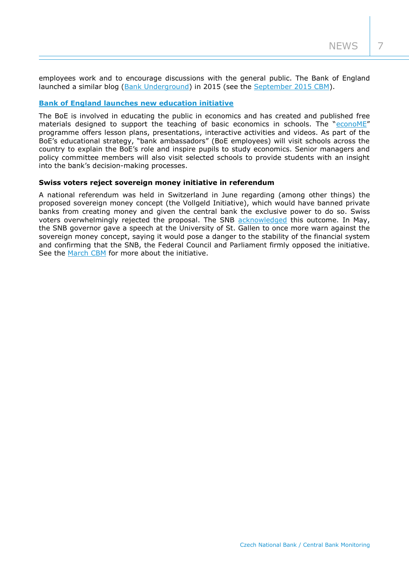employees work and to encourage discussions with the general public. The Bank of England launched a similar blog [\(Bank Underground\)](https://bankunderground.co.uk/) in 2015 (see the [September 2015 CBM\)](http://www.cnb.cz/miranda2/export/sites/www.cnb.cz/en/monetary_policy/monitoring/download/1503_cbm.pdf).

# **[Bank of England launches new education initiative](https://www.bankofengland.co.uk/speech/2018/mark-carney-launch-of-the-boe-econome-programme)**

The BoE is involved in educating the public in economics and has created and published free materials designed to support the teaching of basic economics in schools. The "[econoME](https://nationalschoolspartnership.com/initiatives/econome/?utm_source=bankofengland&utm_medium=website&utm_campaign=econome&utm_content=sign_up_cta)" programme offers lesson plans, presentations, interactive activities and videos. As part of the BoE's educational strategy, "bank ambassadors" (BoE employees) will visit schools across the country to explain the BoE's role and inspire pupils to study economics. Senior managers and policy committee members will also visit selected schools to provide students with an insight into the bank's decision-making processes.

## **Swiss voters reject sovereign money initiative in referendum**

A national referendum was held in Switzerland in June regarding (among other things) the proposed sovereign money concept (the Vollgeld Initiative), which would have banned private banks from creating money and given the central bank the exclusive power to do so. Swiss voters overwhelmingly rejected the proposal. The SNB [acknowledged](https://www.snb.ch/en/mmr/reference/pre_20180610/source/pre_20180610.en.pdf) this outcome. In May, the SNB governor gave a speech at the University of St. Gallen to once more warn against the sovereign money concept, saying it would pose a danger to the stability of the financial system and confirming that the SNB, the Federal Council and Parliament firmly opposed the initiative. See the [March CBM](http://www.cnb.cz/miranda2/export/sites/www.cnb.cz/en/monetary_policy/monitoring/download/1801_cbm.pdf) for more about the initiative.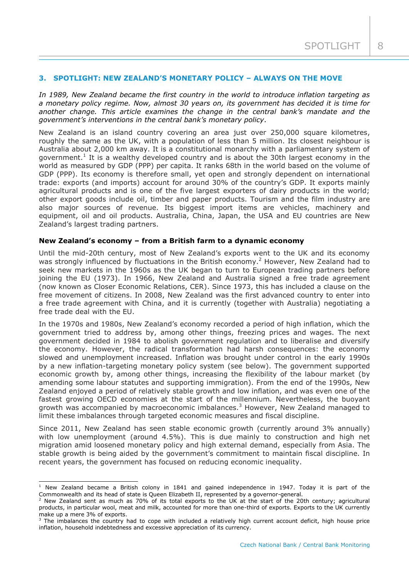# **3. SPOTLIGHT: NEW ZEALAND'S MONETARY POLICY – ALWAYS ON THE MOVE**

*In 1989, New Zealand became the first country in the world to introduce inflation targeting as a monetary policy regime. Now, almost 30 years on, its government has decided it is time for another change. This article examines the change in the central bank's mandate and the government's interventions in the central bank's monetary policy.*

New Zealand is an island country covering an area just over 250,000 square kilometres, roughly the same as the UK, with a population of less than 5 million. Its closest neighbour is Australia about 2,000 km away. It is a constitutional monarchy with a parliamentary system of government.<sup>1</sup> It is a wealthy developed country and is about the 30th largest economy in the world as measured by GDP (PPP) per capita. It ranks 68th in the world based on the volume of GDP (PPP). Its economy is therefore small, yet open and strongly dependent on international trade: exports (and imports) account for around 30% of the country's GDP. It exports mainly agricultural products and is one of the five largest exporters of dairy products in the world; other export goods include oil, timber and paper products. Tourism and the film industry are also major sources of revenue. Its biggest import items are vehicles, machinery and equipment, oil and oil products. Australia, China, Japan, the USA and EU countries are New Zealand's largest trading partners.

### **New Zealand's economy – from a British farm to a dynamic economy**

Until the mid-20th century, most of New Zealand's exports went to the UK and its economy was strongly influenced by fluctuations in the British economy.<sup>2</sup> However, New Zealand had to seek new markets in the 1960s as the UK began to turn to European trading partners before joining the EU (1973). In 1966, New Zealand and Australia signed a free trade agreement (now known as Closer Economic Relations, CER). Since 1973, this has included a clause on the free movement of citizens. In 2008, New Zealand was the first advanced country to enter into a free trade agreement with China, and it is currently (together with Australia) negotiating a free trade deal with the EU.

In the 1970s and 1980s, New Zealand's economy recorded a period of high inflation, which the government tried to address by, among other things, freezing prices and wages. The next government decided in 1984 to abolish government regulation and to liberalise and diversify the economy. However, the radical transformation had harsh consequences: the economy slowed and unemployment increased. Inflation was brought under control in the early 1990s by a new inflation-targeting monetary policy system (see below). The government supported economic growth by, among other things, increasing the flexibility of the labour market (by amending some labour statutes and supporting immigration). From the end of the 1990s, New Zealand enjoyed a period of relatively stable growth and low inflation, and was even one of the fastest growing OECD economies at the start of the millennium. Nevertheless, the buoyant growth was accompanied by macroeconomic imbalances. $3$  However, New Zealand managed to limit these imbalances through targeted economic measures and fiscal discipline.

Since 2011, New Zealand has seen stable economic growth (currently around 3% annually) with low unemployment (around 4.5%). This is due mainly to construction and high net migration amid loosened monetary policy and high external demand, especially from Asia. The stable growth is being aided by the government's commitment to maintain fiscal discipline. In recent years, the government has focused on reducing economic inequality.

 $1$  New Zealand became a British colony in 1841 and gained independence in 1947. Today it is part of the Commonwealth and its head of state is Queen Elizabeth II, represented by a governor-general.

 $^2$  New Zealand sent as much as 70% of its total exports to the UK at the start of the 20th century; agricultural products, in particular wool, meat and milk, accounted for more than one-third of exports. Exports to the UK currently make up a mere 3% of exports.

 $3$  The imbalances the country had to cope with included a relatively high current account deficit, high house price inflation, household indebtedness and excessive appreciation of its currency.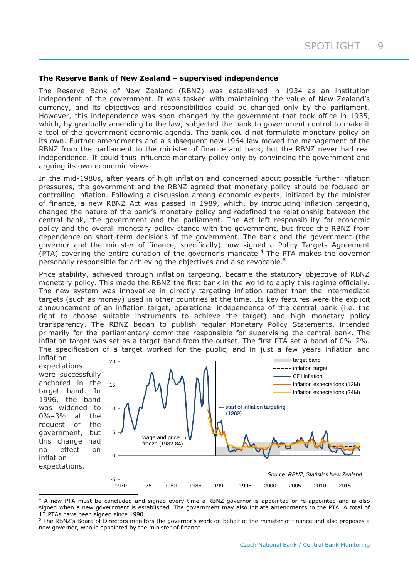### **The Reserve Bank of New Zealand – supervised independence**

The Reserve Bank of New Zealand (RBNZ) was established in 1934 as an institution independent of the government. It was tasked with maintaining the value of New Zealand's currency, and its objectives and responsibilities could be changed only by the parliament. However, this independence was soon changed by the government that took office in 1935, which, by gradually amending to the law, subjected the bank to government control to make it a tool of the government economic agenda. The bank could not formulate monetary policy on its own. Further amendments and a subsequent new 1964 law moved the management of the RBNZ from the parliament to the minister of finance and back, but the RBNZ never had real independence. It could thus influence monetary policy only by convincing the government and arguing its own economic views.

In the mid-1980s, after years of high inflation and concerned about possible further inflation pressures, the government and the RBNZ agreed that monetary policy should be focused on controlling inflation. Following a discussion among economic experts, initiated by the minister of finance, a new RBNZ Act was passed in 1989, which, by introducing inflation targeting, changed the nature of the bank's monetary policy and redefined the relationship between the central bank, the government and the parliament. The Act left responsibility for economic policy and the overall monetary policy stance with the government, but freed the RBNZ from dependence on short-term decisions of the government. The bank and the government (the governor and the minister of finance, specifically) now signed a Policy Targets Agreement  $(PTA)$  covering the entire duration of the governor's mandate.<sup>4</sup> The PTA makes the governor personally responsible for achieving the objectives and also revocable.<sup>5</sup>

Price stability, achieved through inflation targeting, became the statutory objective of RBNZ monetary policy. This made the RBNZ the first bank in the world to apply this regime officially. The new system was innovative in directly targeting inflation rather than the intermediate targets (such as money) used in other countries at the time. Its key features were the explicit announcement of an inflation target, operational independence of the central bank (i.e. the right to choose suitable instruments to achieve the target) and high monetary policy transparency. The RBNZ began to publish regular Monetary Policy Statements, intended primarily for the parliamentary committee responsible for supervising the central bank. The inflation target was set as a target band from the outset. The first PTA set a band of 0%–2%. The specification of a target worked for the public, and in just a few years inflation and

inflation expectations were successfully anchored in the target band. In 1996, the band was widened to 0%–3% at the request of the government, but this change had no effect on inflation expectations.  $\Omega$ 5 10 15 20



<sup>&</sup>lt;sup>4</sup> A new PTA must be concluded and signed every time a RBNZ governor is appointed or re-appointed and is also signed when a new government is established. The government may also initiate amendments to the PTA. A total of 13 PTAs have been signed since 1990.

<sup>&</sup>lt;sup>5</sup> The RBNZ's Board of Directors monitors the governor's work on behalf of the minister of finance and also proposes a new governor, who is appointed by the minister of finance.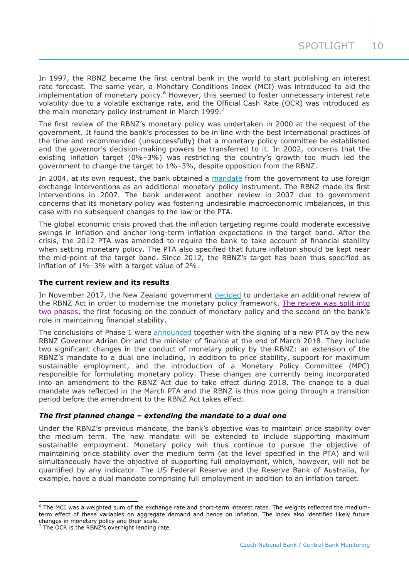In 1997, the RBNZ became the first central bank in the world to start publishing an interest rate forecast. The same year, a Monetary Conditions Index (MCI) was introduced to aid the implementation of monetary policy.<sup>6</sup> However, this seemed to foster unnecessary interest rate volatility due to a volatile exchange rate, and the Official Cash Rate (OCR) was introduced as the main monetary policy instrument in March 1999.<sup>7</sup>

The first review of the RBNZ's monetary policy was undertaken in 2000 at the request of the government. It found the bank's processes to be in line with the best international practices of the time and recommended (unsuccessfully) that a monetary policy committee be established and the governor's decision-making powers be transferred to it. In 2002, concerns that the existing inflation target (0%–3%) was restricting the country's growth too much led the government to change the target to 1%–3%, despite opposition from the RBNZ.

In 2004, at its own request, the bank obtained a [mandate](https://www.rbnz.govt.nz/markets-and-payments/foreign-reserves/intervention) from the government to use foreign exchange interventions as an additional monetary policy instrument. The RBNZ made its first interventions in 2007. The bank underwent another review in 2007 due to government concerns that its monetary policy was fostering undesirable macroeconomic imbalances, in this case with no subsequent changes to the law or the PTA.

The global economic crisis proved that the inflation targeting regime could moderate excessive swings in inflation and anchor long-term inflation expectations in the target band. After the crisis, the 2012 PTA was amended to require the bank to take account of financial stability when setting monetary policy. The PTA also specified that future inflation should be kept near the mid-point of the target band. Since 2012, the RBNZ's target has been thus specified as inflation of 1%–3% with a target value of 2%.

# **The current review and its results**

In November 2017, the New Zealand government [decided](https://www.beehive.govt.nz/release/review-reserve-bank-act-announced-policy-targets-agreement-re-signed) to undertake an additional review of the RBNZ Act in order to modernise the monetary policy framework. [The review was split](https://treasury.govt.nz/news-and-events/reviews-consultation/reviewing-reserve-bank-act) into [two phases,](https://treasury.govt.nz/news-and-events/reviews-consultation/reviewing-reserve-bank-act) the first focusing on the conduct of monetary policy and the second on the bank's role in maintaining financial stability.

The conclusions of Phase 1 were [announced](https://beehive.govt.nz/release/new-pta-requires-reserve-bank-consider-employment-alongside-price-stability-mandate) together with the signing of a new PTA by the new RBNZ Governor Adrian Orr and the minister of finance at the end of March 2018. They include two significant changes in the conduct of monetary policy by the RBNZ: an extension of the RBNZ's mandate to a dual one including, in addition to price stability, support for maximum sustainable employment, and the introduction of a Monetary Policy Committee (MPC) responsible for formulating monetary policy. These changes are currently being incorporated into an amendment to the RBNZ Act due to take effect during 2018. The change to a dual mandate was reflected in the March PTA and the RBNZ is thus now going through a transition period before the amendment to the RBNZ Act takes effect.

# *The first planned change – extending the mandate to a dual one*

Under the RBNZ's previous mandate, the bank's objective was to maintain price stability over the medium term. The new mandate will be extended to include supporting maximum sustainable employment. Monetary policy will thus continue to pursue the objective of maintaining price stability over the medium term (at the level specified in the PTA) and will simultaneously have the objective of supporting full employment, which, however, will not be quantified by any indicator. The US Federal Reserve and the Reserve Bank of Australia, for example, have a dual mandate comprising full employment in addition to an inflation target.

 $6$  The MCI was a weighted sum of the exchange rate and short-term interest rates. The weights reflected the mediumterm effect of these variables on aggregate demand and hence on inflation. The index also identified likely future changes in monetary policy and their scale.

 $7$  The OCR is the RBNZ's overnight lending rate.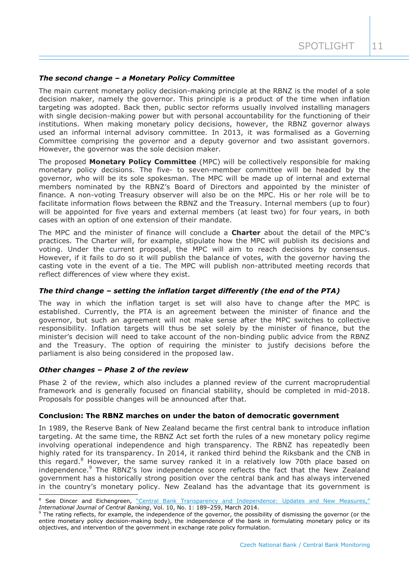# *The second change – a Monetary Policy Committee*

The main current monetary policy decision-making principle at the RBNZ is the model of a sole decision maker, namely the governor. This principle is a product of the time when inflation targeting was adopted. Back then, public sector reforms usually involved installing managers with single decision-making power but with personal accountability for the functioning of their institutions. When making monetary policy decisions, however, the RBNZ governor always used an informal internal advisory committee. In 2013, it was formalised as a Governing Committee comprising the governor and a deputy governor and two assistant governors. However, the governor was the sole decision maker.

The proposed **Monetary Policy Committee** (MPC) will be collectively responsible for making monetary policy decisions. The five- to seven-member committee will be headed by the governor, who will be its sole spokesman. The MPC will be made up of internal and external members nominated by the RBNZ's Board of Directors and appointed by the minister of finance. A non-voting Treasury observer will also be on the MPC. His or her role will be to facilitate information flows between the RBNZ and the Treasury. Internal members (up to four) will be appointed for five years and external members (at least two) for four years, in both cases with an option of one extension of their mandate.

The MPC and the minister of finance will conclude a **Charter** about the detail of the MPC's practices. The Charter will, for example, stipulate how the MPC will publish its decisions and voting. Under the current proposal, the MPC will aim to reach decisions by consensus. However, if it fails to do so it will publish the balance of votes, with the governor having the casting vote in the event of a tie. The MPC will publish non-attributed meeting records that reflect differences of view where they exist.

# *The third change – setting the inflation target differently (the end of the PTA)*

The way in which the inflation target is set will also have to change after the MPC is established. Currently, the PTA is an agreement between the minister of finance and the governor, but such an agreement will not make sense after the MPC switches to collective responsibility. Inflation targets will thus be set solely by the minister of finance, but the minister's decision will need to take account of the non-binding public advice from the RBNZ and the Treasury. The option of requiring the minister to justify decisions before the parliament is also being considered in the proposed law.

# *Other changes – Phase 2 of the review*

Phase 2 of the review, which also includes a planned review of the current macroprudential framework and is generally focused on financial stability, should be completed in mid-2018. Proposals for possible changes will be announced after that.

# **Conclusion: The RBNZ marches on under the baton of democratic government**

In 1989, the Reserve Bank of New Zealand became the first central bank to introduce inflation targeting. At the same time, the RBNZ Act set forth the rules of a new monetary policy regime involving operational independence and high transparency. The RBNZ has repeatedly been highly rated for its transparency. In 2014, it ranked third behind the Riksbank and the CNB in this regard.<sup>8</sup> However, the same survey ranked it in a relatively low 70th place based on independence.<sup>9</sup> The RBNZ's low independence score reflects the fact that the New Zealand government has a historically strong position over the central bank and has always intervened in the country's monetary policy. New Zealand has the advantage that its government is

<sup>-</sup><sup>8</sup> See Dincer and Eichengreen, ["Central Bank Transparency and Independence: Updates and New Measures,"](http://www.ijcb.org/journal/ijcb14q1a6.pdf) *International Journal of Central Banking*, Vol. 10, No. 1: 189–259, March 2014.

<sup>&</sup>lt;sup>9</sup> The rating reflects, for example, the independence of the governor, the possibility of dismissing the governor (or the entire monetary policy decision-making body), the independence of the bank in formulating monetary policy or its objectives, and intervention of the government in exchange rate policy formulation.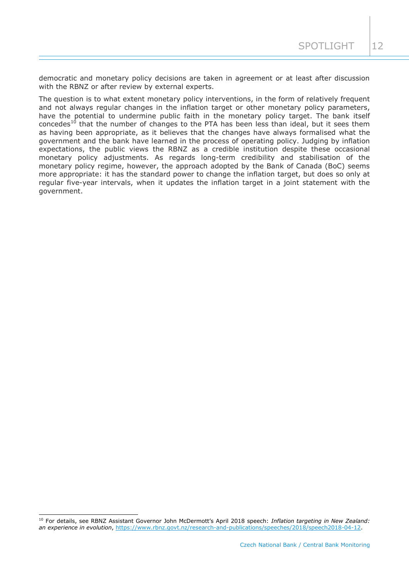democratic and monetary policy decisions are taken in agreement or at least after discussion with the RBNZ or after review by external experts.

The question is to what extent monetary policy interventions, in the form of relatively frequent and not always regular changes in the inflation target or other monetary policy parameters, have the potential to undermine public faith in the monetary policy target. The bank itself  $\frac{10}{10}$  that the number of changes to the PTA has been less than ideal, but it sees them as having been appropriate, as it believes that the changes have always formalised what the government and the bank have learned in the process of operating policy. Judging by inflation expectations, the public views the RBNZ as a credible institution despite these occasional monetary policy adjustments. As regards long-term credibility and stabilisation of the monetary policy regime, however, the approach adopted by the Bank of Canada (BoC) seems more appropriate: it has the standard power to change the inflation target, but does so only at regular five-year intervals, when it updates the inflation target in a joint statement with the government.

<sup>10</sup> For details, see RBNZ Assistant Governor John McDermott's April 2018 speech: *Inflation targeting in New Zealand: an experience in evolution, [https://www.rbnz.govt.nz/research-and-publications/speeches/2018/speech2018-04-12.](https://www.rbnz.govt.nz/research-and-publications/speeches/2018/speech2018-04-12)*